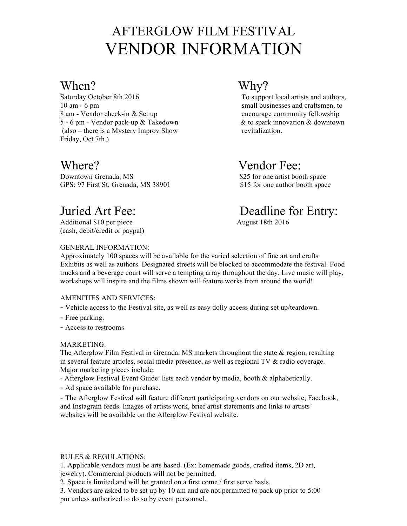# AFTERGLOW FILM FESTIVAL VENDOR INFORMATION

## When? Why?

Saturday October 8th 2016 To support local artists and authors, 10 am - 6 pm small businesses and craftsmen, to 8 am - Vendor check-in & Set up encourage community fellowship 5 - 6 pm - Vendor pack-up & Takedown & to spark innovation & downtown (also – there is a Mystery Improv Show revitalization. Friday, Oct 7th.)

Downtown Grenada, MS  $\qquad$  825 for one artist booth space GPS: 97 First St, Grenada, MS 38901 \$15 for one author booth space

Additional \$10 per piece August 18th 2016 (cash, debit/credit or paypal)

## GENERAL INFORMATION:

## Where? Vendor Fee:

## Juried Art Fee: Deadline for Entry:

Approximately 100 spaces will be available for the varied selection of fine art and crafts Exhibits as well as authors. Designated streets will be blocked to accommodate the festival. Food trucks and a beverage court will serve a tempting array throughout the day. Live music will play, workshops will inspire and the films shown will feature works from around the world!

## AMENITIES AND SERVICES:

- Vehicle access to the Festival site, as well as easy dolly access during set up/teardown.

- Free parking.
- Access to restrooms

## MARKETING:

The Afterglow Film Festival in Grenada, MS markets throughout the state & region, resulting in several feature articles, social media presence, as well as regional TV & radio coverage. Major marketing pieces include:

- Afterglow Festival Event Guide: lists each vendor by media, booth & alphabetically.

- Ad space available for purchase.

- The Afterglow Festival will feature different participating vendors on our website, Facebook, and Instagram feeds. Images of artists work, brief artist statements and links to artists' websites will be available on the Afterglow Festival website.

## RULES & REGULATIONS:

1. Applicable vendors must be arts based. (Ex: homemade goods, crafted items, 2D art, jewelry). Commercial products will not be permitted.

2. Space is limited and will be granted on a first come / first serve basis.

3. Vendors are asked to be set up by 10 am and are not permitted to pack up prior to 5:00 pm unless authorized to do so by event personnel.